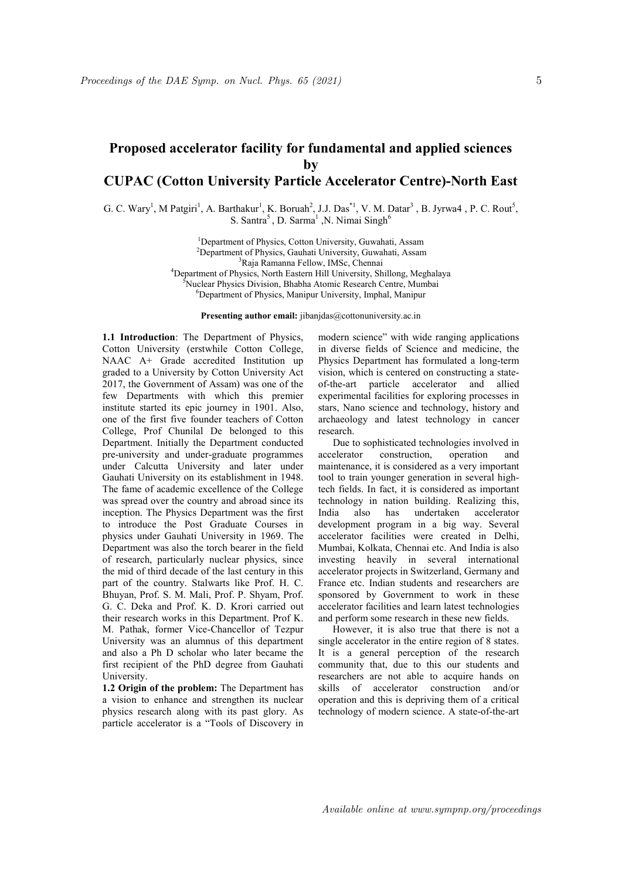## Proposed accelerator facility for fundamental and applied sciences by CUPAC (Cotton University Particle Accelerator Centre)-North East

G. C. Wary<sup>1</sup>, M Patgiri<sup>1</sup>, A. Barthakur<sup>1</sup>, K. Boruah<sup>2</sup>, J.J. Das<sup>\*1</sup>, V. M. Datar<sup>3</sup>, B. Jyrwa4, P. C. Rout<sup>5</sup>, S. Santra<sup>5</sup>, D. Sarma<sup>1</sup>, N. Nimai Singh<sup>6</sup>

> <sup>1</sup>Department of Physics, Cotton University, Guwahati, Assam <sup>2</sup>Department of Physics, Gauhati University, Guwahati, Assam <sup>3</sup>Raja Ramanna Fellow, IMSc, Chennai <sup>4</sup>Department of Physics, North Eastern Hill University, Shillong, Meghalaya <sup>5</sup>Nuclear Physics Division, Bhabha Atomic Research Centre, Mumbai <sup>6</sup>Department of Physics, Manipur University, Imphal, Manipur

> > Presenting author email: jibanjdas@cottonuniversity.ac.in

1.1 Introduction: The Department of Physics, Cotton University (erstwhile Cotton College, NAAC A+ Grade accredited Institution up graded to a University by Cotton University Act 2017, the Government of Assam) was one of the few Departments with which this premier institute started its epic journey in 1901. Also, one of the first five founder teachers of Cotton College, Prof Chunilal De belonged to this Department. Initially the Department conducted pre-university and under-graduate programmes under Calcutta University and later under Gauhati University on its establishment in 1948. The fame of academic excellence of the College was spread over the country and abroad since its inception. The Physics Department was the first to introduce the Post Graduate Courses in physics under Gauhati University in 1969. The Department was also the torch bearer in the field of research, particularly nuclear physics, since the mid of third decade of the last century in this part of the country. Stalwarts like Prof. H. C. Bhuyan, Prof. S. M. Mali, Prof. P. Shyam, Prof. G. C. Deka and Prof. K. D. Krori carried out their research works in this Department. Prof K. M. Pathak, former Vice-Chancellor of Tezpur University was an alumnus of this department and also a Ph D scholar who later became the first recipient of the PhD degree from Gauhati University.

1.2 Origin of the problem: The Department has a vision to enhance and strengthen its nuclear physics research along with its past glory. As particle accelerator is a "Tools of Discovery in modern science" with wide ranging applications in diverse fields of Science and medicine, the Physics Department has formulated a long-term vision, which is centered on constructing a stateof-the-art particle accelerator and allied experimental facilities for exploring processes in stars, Nano science and technology, history and archaeology and latest technology in cancer research.

 Due to sophisticated technologies involved in accelerator construction, operation and maintenance, it is considered as a very important tool to train younger generation in several hightech fields. In fact, it is considered as important technology in nation building. Realizing this, India also has undertaken accelerator development program in a big way. Several accelerator facilities were created in Delhi, Mumbai, Kolkata, Chennai etc. And India is also investing heavily in several international accelerator projects in Switzerland, Germany and France etc. Indian students and researchers are sponsored by Government to work in these accelerator facilities and learn latest technologies and perform some research in these new fields.

However, it is also true that there is not a single accelerator in the entire region of 8 states. It is a general perception of the research community that, due to this our students and researchers are not able to acquire hands on skills of accelerator construction and/or operation and this is depriving them of a critical technology of modern science. A state-of-the-art